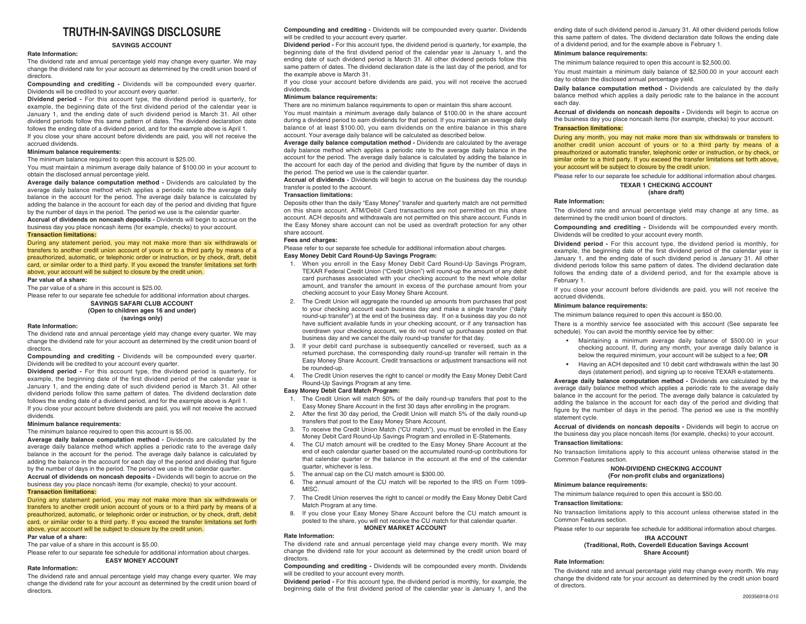# **TRUTH-IN-SAVINGS DISCLOSURE**

# **SAVINGS ACCOUNT**

# **Rate Information:**

The dividend rate and annual percentage yield may change every quarter. We may change the dividend rate for your account as determined by the credit union board of directors.

**Compounding and crediting -** Dividends will be compounded every quarter. Dividends will be credited to your account every quarter.

**Dividend period -** For this account type, the dividend period is quarterly, for example, the beginning date of the first dividend period of the calendar year is January 1, and the ending date of such dividend period is March 31. All other dividend periods follow this same pattern of dates. The dividend declaration date follows the ending date of a dividend period, and for the example above is April 1.

If you close your share account before dividends are paid, you will not receive the accrued dividends.

# **Minimum balance requirements:**

The minimum balance required to open this account is \$25.00.

You must maintain a minimum average daily balance of \$100.00 in your account to obtain the disclosed annual percentage yield.

**Average daily balance computation method -** Dividends are calculated by the average daily balance method which applies a periodic rate to the average daily balance in the account for the period. The average daily balance is calculated by adding the balance in the account for each day of the period and dividing that figure by the number of days in the period. The period we use is the calendar quarter. **Accrual of dividends on noncash deposits -** Dividends will begin to accrue on the

business day you place noncash items (for example, checks) to your account. **Transaction limitations:**

During any statement period, you may not make more than six withdrawals or transfers to another credit union account of yours or to a third party by means of a preauthorized, automatic, or telephonic order or instruction, or by check, draft, debit card, or similar order to a third party. If you exceed the transfer limitations set forth above, your account will be subject to closure by the credit union. **Par value of a share:**

The par value of a share in this account is \$25.00.

Please refer to our separate fee schedule for additional information about charges.

**SAVINGS SAFARI CLUB ACCOUNT (Open to children ages 16 and under) (savings only)** 

#### **Rate Information:**

The dividend rate and annual percentage yield may change every quarter. We may change the dividend rate for your account as determined by the credit union board of directors.

 **Compounding and crediting -** Dividends will be compounded every quarter. Dividends will be credited to your account every quarter.

**Dividend period -** For this account type, the dividend period is quarterly, for example, the beginning date of the first dividend period of the calendar year is January 1, and the ending date of such dividend period is March 31. All other dividend periods follow this same pattern of dates. The dividend declaration date follows the ending date of a dividend period, and for the example above is April 1. If you close your account before dividends are paid, you will not receive the accrued dividends.

# **Minimum balance requirements:**

The minimum balance required to open this account is \$5.00.

**Average daily balance computation method -** Dividends are calculated by the average daily balance method which applies a periodic rate to the average daily balance in the account for the period. The average daily balance is calculated by adding the balance in the account for each day of the period and dividing that figure by the number of days in the period. The period we use is the calendar quarter. **Accrual of dividends on noncash deposits -** Dividends will begin to accrue on the business day you place noncash items (for example, checks) to your account.

# **Transaction limitations:**

During any statement period, you may not make more than six withdrawals or transfers to another credit union account of yours or to a third party by means of a preauthorized, automatic, or telephonic order or instruction, or by check, draft, debit card, or similar order to a third party. If you exceed the transfer limitations set forth above, your account will be subject to closure by the credit union.

# **Par value of a share:**

The par value of a share in this account is \$5.00.

Please refer to our separate fee schedule for additional information about charges. **EASY MONEY ACCOUNT**

# **Rate Information:**

The dividend rate and annual percentage yield may change every quarter. We may change the dividend rate for your account as determined by the credit union board of directors.

**Compounding and crediting -** Dividends will be compounded every quarter. Dividends will be credited to your account every quarter.

**Dividend period -** For this account type, the dividend period is quarterly, for example, the beginning date of the first dividend period of the calendar year is January 1, and the ending date of such dividend period is March 31. All other dividend periods follow this same pattern of dates. The dividend declaration date is the last day of the period, and for the example above is March 31.

If you close your account before dividends are paid, you will not receive the accrued dividends.

# **Minimum balance requirements:**

There are no minimum balance requirements to open or maintain this share account.

You must maintain a minimum average daily balance of \$100.00 in the share account during a dividend period to earn dividends for that period. If you maintain an average daily balance of at least \$100.00, you earn dividends on the entire balance in this share account. Your average daily balance will be calculated as described below.

**Average daily balance computation method -** Dividends are calculated by the average daily balance method which applies a periodic rate to the average daily balance in the account for the period. The average daily balance is calculated by adding the balance in the account for each day of the period and dividing that figure by the number of days in the period. The period we use is the calendar quarter.

**Accrual of dividends -** Dividends will begin to accrue on the business day the roundup transfer is posted to the account.

### **Transaction limitations:**

Deposits other than the daily "Easy Money" transfer and quarterly match are not permitted on this share account. ATM/Debit Card transactions are not permitted on this share account. ACH deposits and withdrawals are not permitted on this share account. Funds in the Easy Money share account can not be used as overdraft protection for any other share account.

#### **Fees and charges:**

Please refer to our separate fee schedule for additional information about charges. **Easy Money Debit Card Round-Up Savings Program:**

- 1. When you enroll in the Easy Money Debit Card Round-Up Savings Program, TEXAR Federal Credit Union ("Credit Union") will round-up the amount of any debit card purchases associated with your checking account to the next whole dollar amount, and transfer the amount in excess of the purchase amount from your checking account to your Easy Money Share Account.
- 2. The Credit Union will aggregate the rounded up amounts from purchases that post to your checking account each business day and make a single transfer ("daily round-up transfer") at the end of the business day. If on a business day you do not have sufficient available funds in your checking account, or if any transaction has overdrawn your checking account, we do not round up purchases posted on that business day and we cancel the daily round-up transfer for that day.
- 3. If your debit card purchase is subsequently cancelled or reversed, such as a returned purchase, the corresponding daily round-up transfer will remain in the Easy Money Share Account. Credit transactions or adjustment transactions will not be rounded-up.
- 4. The Credit Union reserves the right to cancel or modify the Easy Money Debit Card Round-Up Savings Program at any time.

# **Easy Money Debit Card Match Program:**

- The Credit Union will match 50% of the daily round-up transfers that post to the Easy Money Share Account in the first 30 days after enrolling in the program.
- 2. After the first 30 day period, the Credit Union will match 5% of the daily round-up transfers that post to the Easy Money Share Account.
- 3. To receive the Credit Union Match ("CU match"), you must be enrolled in the Easy Money Debit Card Round-Up Savings Program and enrolled in E-Statements.
- 4. The CU match amount will be credited to the Easy Money Share Account at the end of each calendar quarter based on the accumulated round-up contributions for that calendar quarter or the balance in the account at the end of the calendar quarter, whichever is less.
- 5. The annual cap on the CU match amount is \$300.00.
- 6. The annual amount of the CU match will be reported to the IRS on Form 1099- MISC.
- 7. The Credit Union reserves the right to cancel or modify the Easy Money Debit Card Match Program at any time.
- 8. If you close your Easy Money Share Account before the CU match amount is posted to the share, you will not receive the CU match for that calendar quarter. **MONEY MARKET ACCOUNT**

#### **Rate Information:**

The dividend rate and annual percentage yield may change every month. We may change the dividend rate for your account as determined by the credit union board of directors.

**Compounding and crediting -** Dividends will be compounded every month. Dividends will be credited to your account every month.

**Dividend period -** For this account type, the dividend period is monthly, for example, the beginning date of the first dividend period of the calendar year is January 1, and the ending date of such dividend period is January 31. All other dividend periods follow this same pattern of dates. The dividend declaration date follows the ending date of a dividend period, and for the example above is February 1.

#### **Minimum balance requirements:**

The minimum balance required to open this account is \$2,500.00.

You must maintain a minimum daily balance of \$2,500.00 in your account each day to obtain the disclosed annual percentage yield.

**Daily balance computation method -** Dividends are calculated by the daily balance method which applies a daily periodic rate to the balance in the account each day.

**Accrual of dividends on noncash deposits -** Dividends will begin to accrue on the business day you place noncash items (for example, checks) to your account. **Transaction limitations:**

During any month, you may not make more than six withdrawals or transfers to another credit union account of yours or to a third party by means of a preauthorized or automatic transfer, telephonic order or instruction, or by check, or similar order to a third party. If you exceed the transfer limitations set forth above, your account will be subject to closure by the credit union.

Please refer to our separate fee schedule for additional information about charges.

### **TEXAR 1 CHECKING ACCOUNT**

# **(share draft)**

# **Rate Information:**

The dividend rate and annual percentage yield may change at any time, as determined by the credit union board of directors.

**Compounding and crediting -** Dividends will be compounded every month. Dividends will be credited to your account every month.

**Dividend period -** For this account type, the dividend period is monthly, for example, the beginning date of the first dividend period of the calendar year is January 1, and the ending date of such dividend period is January 31. All other dividend periods follow this same pattern of dates. The dividend declaration date follows the ending date of a dividend period, and for the example above is February 1.

If you close your account before dividends are paid, you will not receive the accrued dividends.

# **Minimum balance requirements:**

The minimum balance required to open this account is \$50.00.

There is a monthly service fee associated with this account (See separate fee schedule). You can avoid the monthly service fee by either:

- Maintaining a minimum average daily balance of \$500.00 in your checking account. If, during any month, your average daily balance is below the required minimum, your account will be subject to a fee; **OR**
- **•** Having an ACH deposited and 10 debit card withdrawals within the last 30 days (statement period), and signing up to receive TEXAR e-statements.

**Average daily balance computation method -** Dividends are calculated by the average daily balance method which applies a periodic rate to the average daily balance in the account for the period. The average daily balance is calculated by adding the balance in the account for each day of the period and dividing that figure by the number of days in the period. The period we use is the monthly statement cycle.

**Accrual of dividends on noncash deposits -** Dividends will begin to accrue on the business day you place noncash items (for example, checks) to your account.

# **Transaction limitations:**

No transaction limitations apply to this account unless otherwise stated in the Common Features section.

# **NON-DIVIDEND CHECKING ACCOUNT**

**(For non-profit clubs and organizations)**

#### **Minimum balance requirements:**

The minimum balance required to open this account is \$50.00.

# **Transaction limitations:**

No transaction limitations apply to this account unless otherwise stated in the Common Features section.

Please refer to our separate fee schedule for additional information about charges.

#### **IRA ACCOUNT**

### **(Traditional, Roth, Coverdell Education Savings Account Share Account)**

# **Rate Information:**

The dividend rate and annual percentage yield may change every month. We may change the dividend rate for your account as determined by the credit union board of directors.